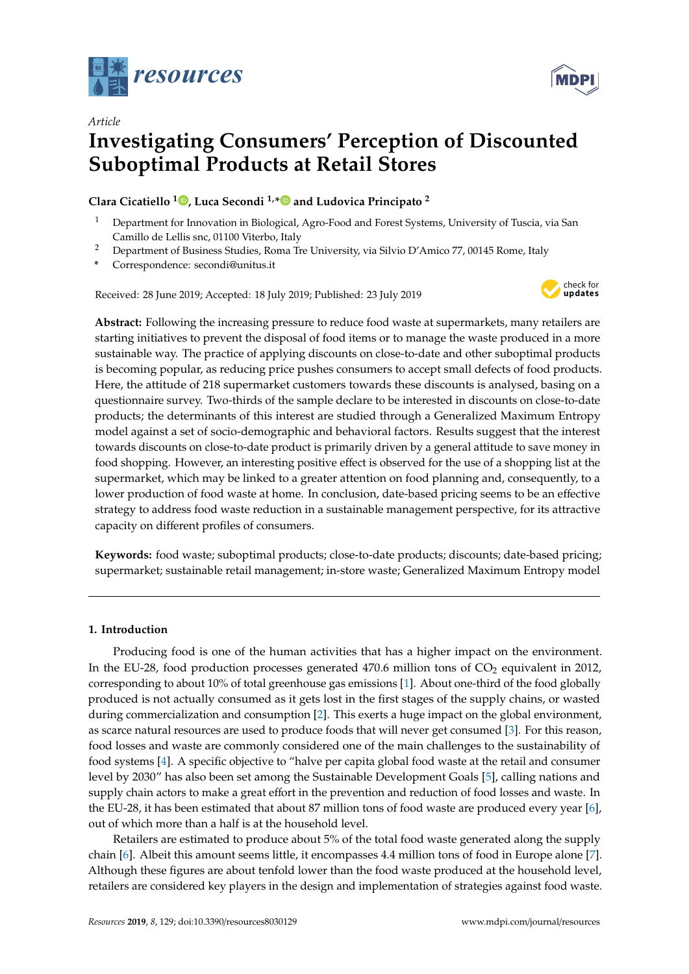

*Article*



# **Investigating Consumers' Perception of Discounted Suboptimal Products at Retail Stores**

**Clara Cicatiello <sup>1</sup> [,](https://orcid.org/0000-0002-3299-5001) Luca Secondi 1,[\\*](https://orcid.org/0000-0001-8437-0444) and Ludovica Principato <sup>2</sup>**

- <sup>1</sup> Department for Innovation in Biological, Agro-Food and Forest Systems, University of Tuscia, via San Camillo de Lellis snc, 01100 Viterbo, Italy
- <sup>2</sup> Department of Business Studies, Roma Tre University, via Silvio D'Amico 77, 00145 Rome, Italy
- **\*** Correspondence: secondi@unitus.it

Received: 28 June 2019; Accepted: 18 July 2019; Published: 23 July 2019



**Abstract:** Following the increasing pressure to reduce food waste at supermarkets, many retailers are starting initiatives to prevent the disposal of food items or to manage the waste produced in a more sustainable way. The practice of applying discounts on close-to-date and other suboptimal products is becoming popular, as reducing price pushes consumers to accept small defects of food products. Here, the attitude of 218 supermarket customers towards these discounts is analysed, basing on a questionnaire survey. Two-thirds of the sample declare to be interested in discounts on close-to-date products; the determinants of this interest are studied through a Generalized Maximum Entropy model against a set of socio-demographic and behavioral factors. Results suggest that the interest towards discounts on close-to-date product is primarily driven by a general attitude to save money in food shopping. However, an interesting positive effect is observed for the use of a shopping list at the supermarket, which may be linked to a greater attention on food planning and, consequently, to a lower production of food waste at home. In conclusion, date-based pricing seems to be an effective strategy to address food waste reduction in a sustainable management perspective, for its attractive capacity on different profiles of consumers.

**Keywords:** food waste; suboptimal products; close-to-date products; discounts; date-based pricing; supermarket; sustainable retail management; in-store waste; Generalized Maximum Entropy model

# **1. Introduction**

Producing food is one of the human activities that has a higher impact on the environment. In the EU-28, food production processes generated 470.6 million tons of  $CO<sub>2</sub>$  equivalent in 2012, corresponding to about 10% of total greenhouse gas emissions [\[1\]](#page-7-0). About one-third of the food globally produced is not actually consumed as it gets lost in the first stages of the supply chains, or wasted during commercialization and consumption [\[2\]](#page-7-1). This exerts a huge impact on the global environment, as scarce natural resources are used to produce foods that will never get consumed [\[3\]](#page-8-0). For this reason, food losses and waste are commonly considered one of the main challenges to the sustainability of food systems [\[4\]](#page-8-1). A specific objective to "halve per capita global food waste at the retail and consumer level by 2030" has also been set among the Sustainable Development Goals [\[5\]](#page-8-2), calling nations and supply chain actors to make a great effort in the prevention and reduction of food losses and waste. In the EU-28, it has been estimated that about 87 million tons of food waste are produced every year [\[6\]](#page-8-3), out of which more than a half is at the household level.

Retailers are estimated to produce about 5% of the total food waste generated along the supply chain [\[6\]](#page-8-3). Albeit this amount seems little, it encompasses 4.4 million tons of food in Europe alone [\[7\]](#page-8-4). Although these figures are about tenfold lower than the food waste produced at the household level, retailers are considered key players in the design and implementation of strategies against food waste.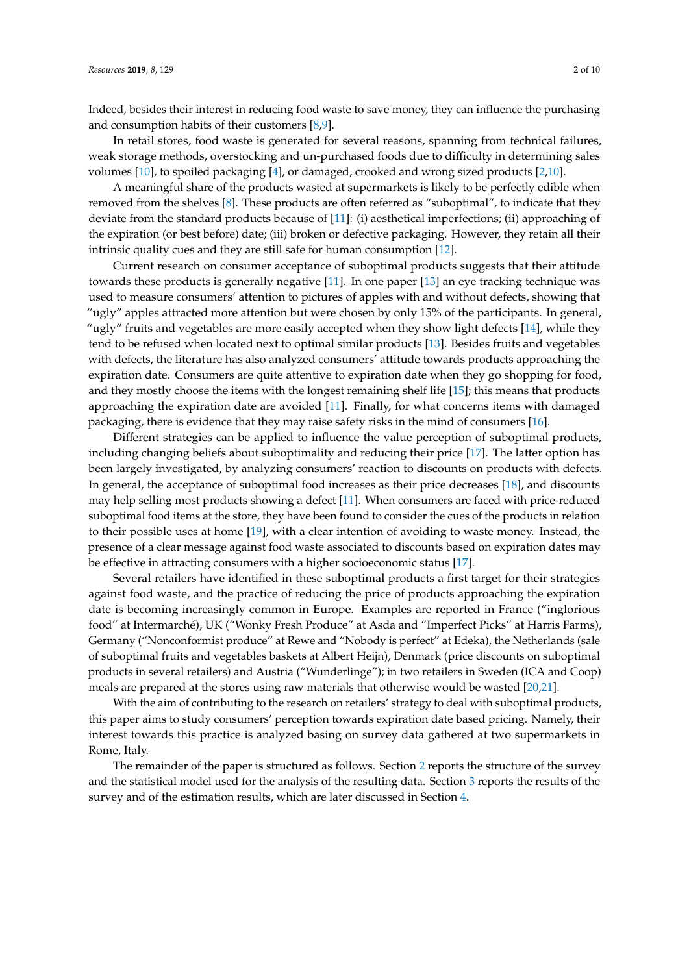Indeed, besides their interest in reducing food waste to save money, they can influence the purchasing and consumption habits of their customers [\[8](#page-8-5)[,9\]](#page-8-6).

In retail stores, food waste is generated for several reasons, spanning from technical failures, weak storage methods, overstocking and un-purchased foods due to difficulty in determining sales volumes [\[10\]](#page-8-7), to spoiled packaging [\[4\]](#page-8-1), or damaged, crooked and wrong sized products [\[2](#page-7-1)[,10\]](#page-8-7).

A meaningful share of the products wasted at supermarkets is likely to be perfectly edible when removed from the shelves [\[8\]](#page-8-5). These products are often referred as "suboptimal", to indicate that they deviate from the standard products because of [\[11\]](#page-8-8): (i) aesthetical imperfections; (ii) approaching of the expiration (or best before) date; (iii) broken or defective packaging. However, they retain all their intrinsic quality cues and they are still safe for human consumption [\[12\]](#page-8-9).

Current research on consumer acceptance of suboptimal products suggests that their attitude towards these products is generally negative [\[11\]](#page-8-8). In one paper [\[13\]](#page-8-10) an eye tracking technique was used to measure consumers' attention to pictures of apples with and without defects, showing that "ugly" apples attracted more attention but were chosen by only 15% of the participants. In general, "ugly" fruits and vegetables are more easily accepted when they show light defects [\[14\]](#page-8-11), while they tend to be refused when located next to optimal similar products [\[13\]](#page-8-10). Besides fruits and vegetables with defects, the literature has also analyzed consumers' attitude towards products approaching the expiration date. Consumers are quite attentive to expiration date when they go shopping for food, and they mostly choose the items with the longest remaining shelf life [\[15\]](#page-8-12); this means that products approaching the expiration date are avoided [\[11\]](#page-8-8). Finally, for what concerns items with damaged packaging, there is evidence that they may raise safety risks in the mind of consumers [\[16\]](#page-8-13).

Different strategies can be applied to influence the value perception of suboptimal products, including changing beliefs about suboptimality and reducing their price [\[17\]](#page-8-14). The latter option has been largely investigated, by analyzing consumers' reaction to discounts on products with defects. In general, the acceptance of suboptimal food increases as their price decreases [\[18\]](#page-8-15), and discounts may help selling most products showing a defect [\[11\]](#page-8-8). When consumers are faced with price-reduced suboptimal food items at the store, they have been found to consider the cues of the products in relation to their possible uses at home [\[19\]](#page-8-16), with a clear intention of avoiding to waste money. Instead, the presence of a clear message against food waste associated to discounts based on expiration dates may be effective in attracting consumers with a higher socioeconomic status [\[17\]](#page-8-14).

Several retailers have identified in these suboptimal products a first target for their strategies against food waste, and the practice of reducing the price of products approaching the expiration date is becoming increasingly common in Europe. Examples are reported in France ("inglorious food" at Intermarché), UK ("Wonky Fresh Produce" at Asda and "Imperfect Picks" at Harris Farms), Germany ("Nonconformist produce" at Rewe and "Nobody is perfect" at Edeka), the Netherlands (sale of suboptimal fruits and vegetables baskets at Albert Heijn), Denmark (price discounts on suboptimal products in several retailers) and Austria ("Wunderlinge"); in two retailers in Sweden (ICA and Coop) meals are prepared at the stores using raw materials that otherwise would be wasted [\[20](#page-8-17)[,21\]](#page-8-18).

With the aim of contributing to the research on retailers' strategy to deal with suboptimal products, this paper aims to study consumers' perception towards expiration date based pricing. Namely, their interest towards this practice is analyzed basing on survey data gathered at two supermarkets in Rome, Italy.

The remainder of the paper is structured as follows. Section [2](#page-2-0) reports the structure of the survey and the statistical model used for the analysis of the resulting data. Section [3](#page-3-0) reports the results of the survey and of the estimation results, which are later discussed in Section [4.](#page-6-0)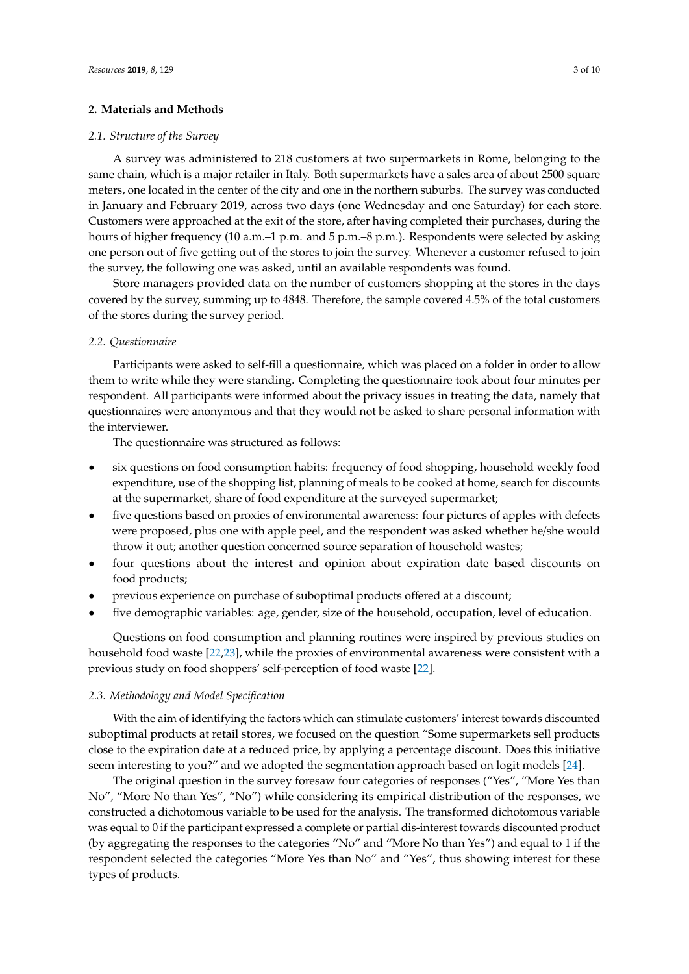## <span id="page-2-0"></span>**2. Materials and Methods**

### *2.1. Structure of the Survey*

A survey was administered to 218 customers at two supermarkets in Rome, belonging to the same chain, which is a major retailer in Italy. Both supermarkets have a sales area of about 2500 square meters, one located in the center of the city and one in the northern suburbs. The survey was conducted in January and February 2019, across two days (one Wednesday and one Saturday) for each store. Customers were approached at the exit of the store, after having completed their purchases, during the hours of higher frequency (10 a.m.–1 p.m. and 5 p.m.–8 p.m.). Respondents were selected by asking one person out of five getting out of the stores to join the survey. Whenever a customer refused to join the survey, the following one was asked, until an available respondents was found.

Store managers provided data on the number of customers shopping at the stores in the days covered by the survey, summing up to 4848. Therefore, the sample covered 4.5% of the total customers of the stores during the survey period.

#### *2.2. Questionnaire*

Participants were asked to self-fill a questionnaire, which was placed on a folder in order to allow them to write while they were standing. Completing the questionnaire took about four minutes per respondent. All participants were informed about the privacy issues in treating the data, namely that questionnaires were anonymous and that they would not be asked to share personal information with the interviewer.

The questionnaire was structured as follows:

- six questions on food consumption habits: frequency of food shopping, household weekly food expenditure, use of the shopping list, planning of meals to be cooked at home, search for discounts at the supermarket, share of food expenditure at the surveyed supermarket;
- five questions based on proxies of environmental awareness: four pictures of apples with defects were proposed, plus one with apple peel, and the respondent was asked whether he/she would throw it out; another question concerned source separation of household wastes;
- four questions about the interest and opinion about expiration date based discounts on food products;
- previous experience on purchase of suboptimal products offered at a discount;
- five demographic variables: age, gender, size of the household, occupation, level of education.

Questions on food consumption and planning routines were inspired by previous studies on household food waste [\[22](#page-8-19)[,23\]](#page-8-20), while the proxies of environmental awareness were consistent with a previous study on food shoppers' self-perception of food waste [\[22\]](#page-8-19).

#### *2.3. Methodology and Model Specification*

With the aim of identifying the factors which can stimulate customers' interest towards discounted suboptimal products at retail stores, we focused on the question "Some supermarkets sell products close to the expiration date at a reduced price, by applying a percentage discount. Does this initiative seem interesting to you?" and we adopted the segmentation approach based on logit models [\[24\]](#page-8-21).

The original question in the survey foresaw four categories of responses ("Yes", "More Yes than No", "More No than Yes", "No") while considering its empirical distribution of the responses, we constructed a dichotomous variable to be used for the analysis. The transformed dichotomous variable was equal to 0 if the participant expressed a complete or partial dis-interest towards discounted product (by aggregating the responses to the categories "No" and "More No than Yes") and equal to 1 if the respondent selected the categories "More Yes than No" and "Yes", thus showing interest for these types of products.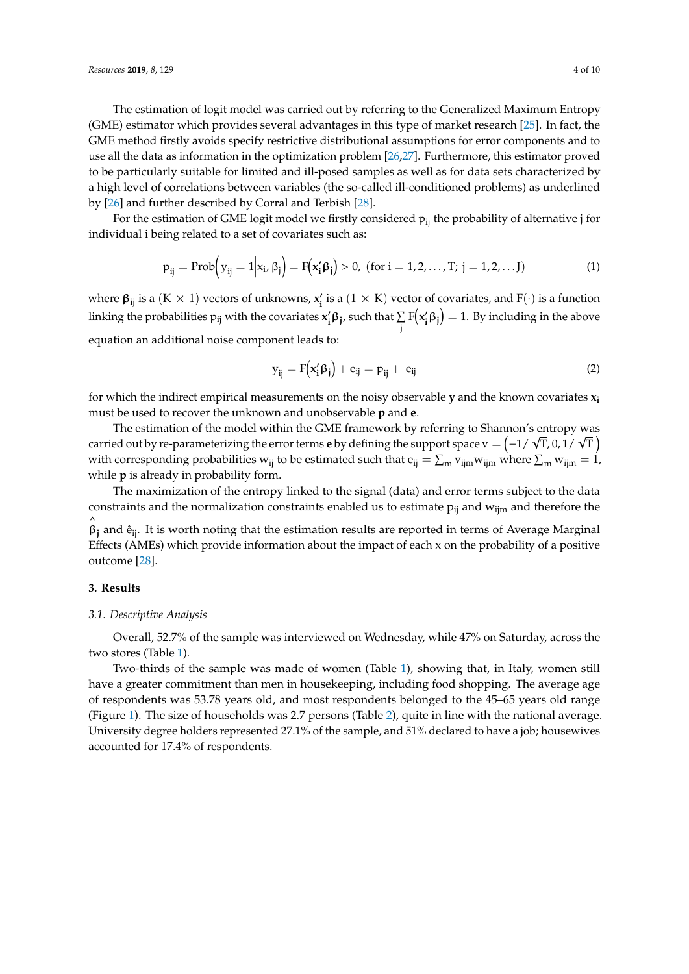The estimation of logit model was carried out by referring to the Generalized Maximum Entropy (GME) estimator which provides several advantages in this type of market research [\[25\]](#page-8-22). In fact, the GME method firstly avoids specify restrictive distributional assumptions for error components and to use all the data as information in the optimization problem [\[26,](#page-9-0)[27\]](#page-9-1). Furthermore, this estimator proved to be particularly suitable for limited and ill-posed samples as well as for data sets characterized by a high level of correlations between variables (the so-called ill-conditioned problems) as underlined by [\[26\]](#page-9-0) and further described by Corral and Terbish [\[28\]](#page-9-2).

For the estimation of GME logit model we firstly considered  $p_{ij}$  the probability of alternative j for individual i being related to a set of covariates such as:

$$
p_{ij} = Prob(y_{ij} = 1 | x_i, \beta_j) = F(x'_i \beta_j) > 0, \text{ (for } i = 1, 2, ..., T; j = 1, 2, ... J)
$$
 (1)

where  $\beta_{ij}$  is a (K  $\times$  1) vectors of unknowns,  $\mathbf{x}'_i$  $\mathbf{f}_i$  is a (1  $\times$  K) vector of covariates, and  $\mathbf{F}(\cdot)$  is a function linking the probabilities p<sub>ij</sub> with the covariates **x**<sup>2</sup>  $\binom{7}{1}$ β<sub>j</sub>, such that  $\sum_{i=1}^{n}$ j  $F(x'_i)$  $\mathbf{f}'_i \beta_j$  = 1. By including in the above equation an additional noise component leads to:

$$
y_{ij} = F(x'_i \beta_j) + e_{ij} = p_{ij} + e_{ij}
$$
 (2)

for which the indirect empirical measurements on the noisy observable **y** and the known covariates **x<sup>i</sup>** must be used to recover the unknown and unobservable **p** and **e**.

The estimation of the model within the GME framework by referring to Shannon's entropy was carried out by re-parameterizing the error terms **e** by defining the support space  $v = (-1/\sqrt{T}, 0, 1/\sqrt{T})$ with corresponding probabilities  $w_{ij}$  to be estimated such that  $e_{ij}=\sum_m v_{ijm}w_{ijm}$  where  $\sum_m w_{ijm}=1$ , while **p** is already in probability form.

The maximization of the entropy linked to the signal (data) and error terms subject to the data constraints and the normalization constraints enabled us to estimate  $p_{ij}$  and  $w_{ijm}$  and therefore the

 $\hat{\beta}_j$  and  $\hat{e}_{ij}$ . It is worth noting that the estimation results are reported in terms of Average Marginal Effects (AMEs) which provide information about the impact of each x on the probability of a positive outcome [\[28\]](#page-9-2).

### <span id="page-3-0"></span>**3. Results**

#### *3.1. Descriptive Analysis*

Overall, 52.7% of the sample was interviewed on Wednesday, while 47% on Saturday, across the two stores (Table [1\)](#page-4-0).

Two-thirds of the sample was made of women (Table [1\)](#page-4-0), showing that, in Italy, women still have a greater commitment than men in housekeeping, including food shopping. The average age of respondents was 53.78 years old, and most respondents belonged to the 45–65 years old range (Figure [1\)](#page-4-1). The size of households was 2.7 persons (Table [2\)](#page-4-2), quite in line with the national average. University degree holders represented 27.1% of the sample, and 51% declared to have a job; housewives accounted for 17.4% of respondents.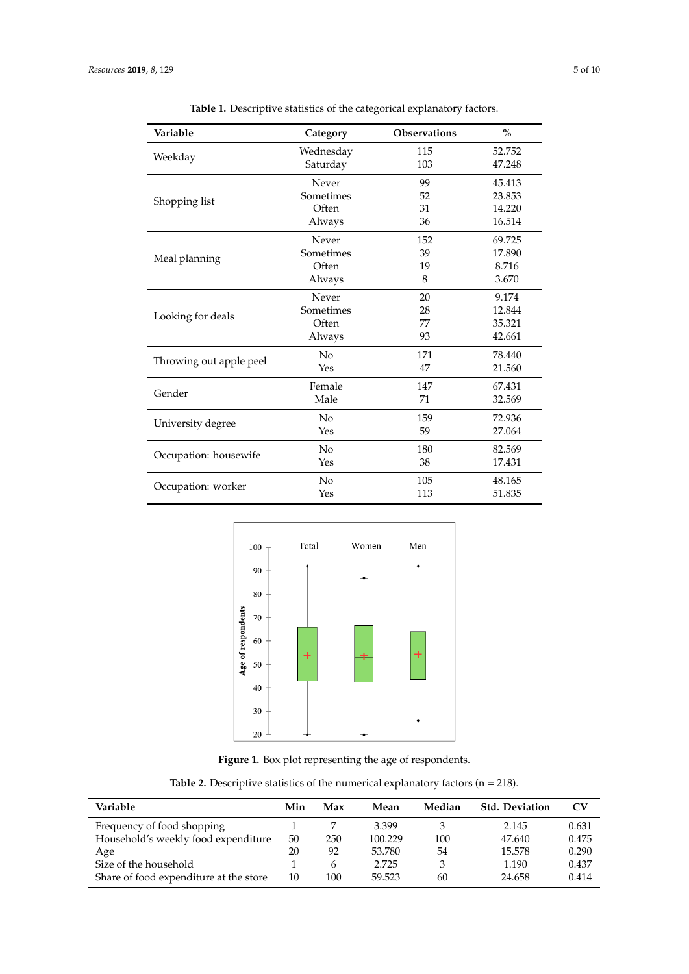| Variable                | Category  | Observations                                                                                                                                     | $\mathbf{0}_{\mathbf{0}}^{\prime}$ |
|-------------------------|-----------|--------------------------------------------------------------------------------------------------------------------------------------------------|------------------------------------|
|                         | Wednesday | 115                                                                                                                                              | 52.752                             |
| Weekday                 | Saturday  | 103<br>99<br>52<br>14.220<br>31<br>36<br>152<br>39<br>19<br>8<br>20<br>28<br>77<br>93<br>171<br>47<br>147<br>71<br>159<br>59<br>180<br>38<br>105 | 47.248                             |
|                         | Never     |                                                                                                                                                  | 45.413                             |
| Shopping list           | Sometimes |                                                                                                                                                  | 23.853                             |
|                         | Often     |                                                                                                                                                  |                                    |
|                         | Always    |                                                                                                                                                  | 16.514                             |
|                         | Never     |                                                                                                                                                  | 69.725                             |
| Meal planning           | Sometimes |                                                                                                                                                  | 17.890                             |
|                         | Often     |                                                                                                                                                  | 8.716                              |
|                         | Always    |                                                                                                                                                  | 3.670                              |
| Looking for deals       | Never     |                                                                                                                                                  | 9.174                              |
|                         | Sometimes |                                                                                                                                                  | 12.844                             |
|                         | Often     |                                                                                                                                                  | 35.321                             |
|                         | Always    |                                                                                                                                                  | 42.661                             |
| Throwing out apple peel | No        |                                                                                                                                                  | 78.440                             |
|                         | Yes       |                                                                                                                                                  | 21.560                             |
|                         | Female    |                                                                                                                                                  | 67.431                             |
| Gender                  | Male      |                                                                                                                                                  | 32.569                             |
|                         | No        |                                                                                                                                                  | 72.936                             |
| University degree       | Yes       |                                                                                                                                                  | 27.064                             |
|                         | No        |                                                                                                                                                  | 82.569                             |
| Occupation: housewife   | Yes       |                                                                                                                                                  | 17.431                             |
|                         | No        |                                                                                                                                                  | 48.165                             |
| Occupation: worker      | Yes       | 113                                                                                                                                              | 51.835                             |

<span id="page-4-0"></span>Table 1. Descriptive statistics of the categorical explanatory factors.

<span id="page-4-1"></span>

**Figure 1.** Box plot representing the age of respondents.

Table 2. Descriptive statistics of the numerical explanatory factors (n = 218).

<span id="page-4-2"></span>

| Variable                               | Min | Max | Mean    | Median | <b>Std. Deviation</b> | <b>CV</b> |
|----------------------------------------|-----|-----|---------|--------|-----------------------|-----------|
| Frequency of food shopping             |     |     | 3.399   | 3      | 2.145                 | 0.631     |
| Household's weekly food expenditure    | 50  | 250 | 100.229 | 100    | 47.640                | 0.475     |
| Age                                    | 20  | 92  | 53.780  | 54     | 15.578                | 0.290     |
| Size of the household                  |     | 6   | 2.725   | 3      | 1.190                 | 0.437     |
| Share of food expenditure at the store | 10  | 100 | 59.523  | 60     | 24.658                | 0.414     |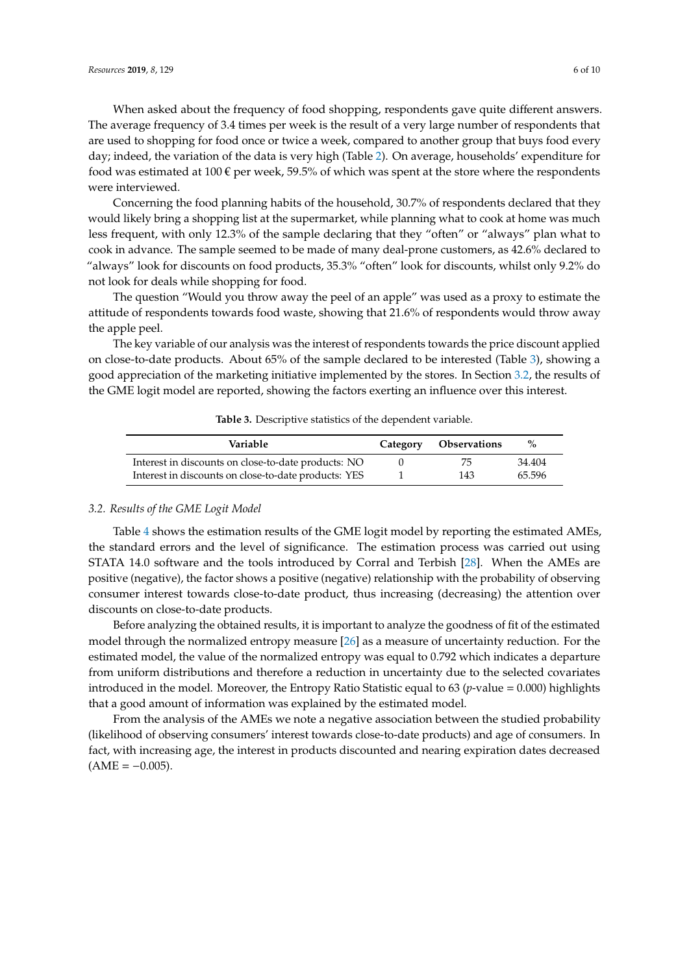When asked about the frequency of food shopping, respondents gave quite different answers. The average frequency of 3.4 times per week is the result of a very large number of respondents that are used to shopping for food once or twice a week, compared to another group that buys food every day; indeed, the variation of the data is very high (Table [2\)](#page-4-2). On average, households' expenditure for food was estimated at 100  $\epsilon$  per week, 59.5% of which was spent at the store where the respondents were interviewed.

Concerning the food planning habits of the household, 30.7% of respondents declared that they would likely bring a shopping list at the supermarket, while planning what to cook at home was much less frequent, with only 12.3% of the sample declaring that they "often" or "always" plan what to cook in advance. The sample seemed to be made of many deal-prone customers, as 42.6% declared to "always" look for discounts on food products, 35.3% "often" look for discounts, whilst only 9.2% do not look for deals while shopping for food.

The question "Would you throw away the peel of an apple" was used as a proxy to estimate the attitude of respondents towards food waste, showing that 21.6% of respondents would throw away the apple peel.

The key variable of our analysis was the interest of respondents towards the price discount applied on close-to-date products. About 65% of the sample declared to be interested (Table [3\)](#page-5-0), showing a good appreciation of the marketing initiative implemented by the stores. In Section [3.2,](#page-5-1) the results of the GME logit model are reported, showing the factors exerting an influence over this interest.

| <b>Table 3.</b> Descriptive statistics of the dependent variable. |  |  |  |  |  |  |
|-------------------------------------------------------------------|--|--|--|--|--|--|
|-------------------------------------------------------------------|--|--|--|--|--|--|

<span id="page-5-0"></span>

| Variable                                             | Category | Observations | $\%$   |
|------------------------------------------------------|----------|--------------|--------|
| Interest in discounts on close-to-date products: NO  |          | 75.          | 34.404 |
| Interest in discounts on close-to-date products: YES |          | 143          | 65.596 |

### <span id="page-5-1"></span>*3.2. Results of the GME Logit Model*

Table [4](#page-6-1) shows the estimation results of the GME logit model by reporting the estimated AMEs, the standard errors and the level of significance. The estimation process was carried out using STATA 14.0 software and the tools introduced by Corral and Terbish [\[28\]](#page-9-2). When the AMEs are positive (negative), the factor shows a positive (negative) relationship with the probability of observing consumer interest towards close-to-date product, thus increasing (decreasing) the attention over discounts on close-to-date products.

Before analyzing the obtained results, it is important to analyze the goodness of fit of the estimated model through the normalized entropy measure [\[26\]](#page-9-0) as a measure of uncertainty reduction. For the estimated model, the value of the normalized entropy was equal to 0.792 which indicates a departure from uniform distributions and therefore a reduction in uncertainty due to the selected covariates introduced in the model. Moreover, the Entropy Ratio Statistic equal to 63 (*p*-value = 0.000) highlights that a good amount of information was explained by the estimated model.

From the analysis of the AMEs we note a negative association between the studied probability (likelihood of observing consumers' interest towards close-to-date products) and age of consumers. In fact, with increasing age, the interest in products discounted and nearing expiration dates decreased  $(AME = -0.005)$ .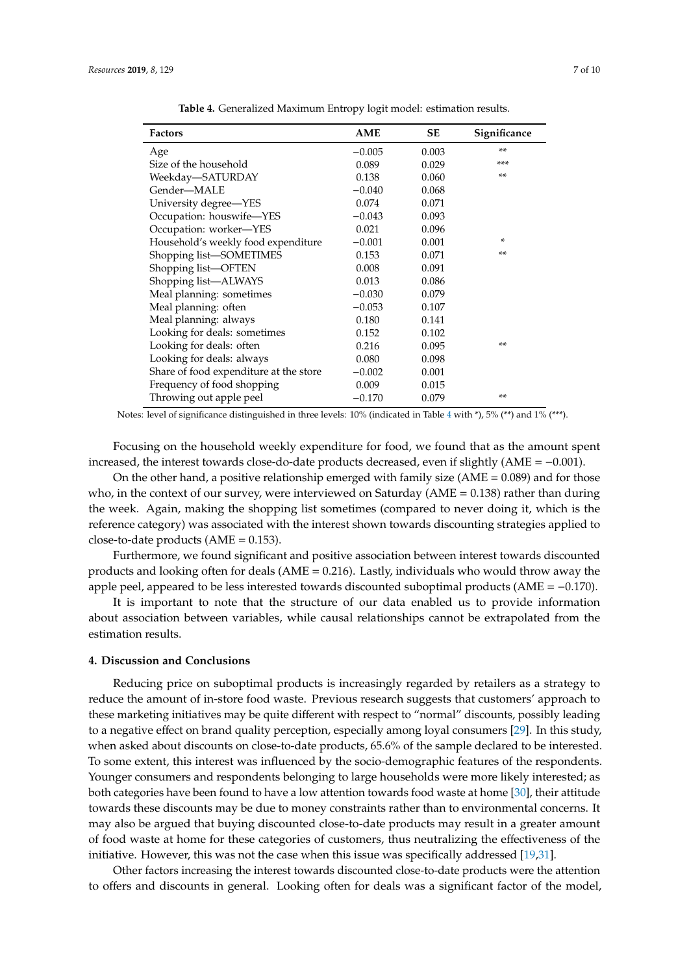<span id="page-6-1"></span>

| <b>Factors</b>                         | AME      | SЕ    | Significance |
|----------------------------------------|----------|-------|--------------|
| Age                                    | $-0.005$ | 0.003 | **           |
| Size of the household                  | 0.089    | 0.029 | ***          |
| Weekday-SATURDAY                       | 0.138    | 0.060 | **           |
| Gender-MALE                            | $-0.040$ | 0.068 |              |
| University degree-YES                  | 0.074    | 0.071 |              |
| Occupation: houswife-YES               | $-0.043$ | 0.093 |              |
| Occupation: worker-YES                 | 0.021    | 0.096 |              |
| Household's weekly food expenditure    | $-0.001$ | 0.001 | *            |
| Shopping list-SOMETIMES                | 0.153    | 0.071 | **           |
| Shopping list-OFTEN                    | 0.008    | 0.091 |              |
| Shopping list-ALWAYS                   | 0.013    | 0.086 |              |
| Meal planning: sometimes               | $-0.030$ | 0.079 |              |
| Meal planning: often                   | $-0.053$ | 0.107 |              |
| Meal planning: always                  | 0.180    | 0.141 |              |
| Looking for deals: sometimes           | 0.152    | 0.102 |              |
| Looking for deals: often               | 0.216    | 0.095 | **           |
| Looking for deals: always              | 0.080    | 0.098 |              |
| Share of food expenditure at the store | $-0.002$ | 0.001 |              |
| Frequency of food shopping             | 0.009    | 0.015 |              |
| Throwing out apple peel                | $-0.170$ | 0.079 | **           |

**Table 4.** Generalized Maximum Entropy logit model: estimation results.

Notes: level of significance distinguished in three levels: 10% (indicated in Table [4](#page-6-1) with \*), 5% (\*\*) and 1% (\*\*\*).

Focusing on the household weekly expenditure for food, we found that as the amount spent increased, the interest towards close-do-date products decreased, even if slightly  $(AME = -0.001)$ .

On the other hand, a positive relationship emerged with family size  $(AME = 0.089)$  and for those who, in the context of our survey, were interviewed on Saturday ( $AME = 0.138$ ) rather than during the week. Again, making the shopping list sometimes (compared to never doing it, which is the reference category) was associated with the interest shown towards discounting strategies applied to close-to-date products ( $AME = 0.153$ ).

Furthermore, we found significant and positive association between interest towards discounted products and looking often for deals (AME = 0.216). Lastly, individuals who would throw away the apple peel, appeared to be less interested towards discounted suboptimal products (AME = −0.170).

It is important to note that the structure of our data enabled us to provide information about association between variables, while causal relationships cannot be extrapolated from the estimation results.

#### <span id="page-6-0"></span>**4. Discussion and Conclusions**

Reducing price on suboptimal products is increasingly regarded by retailers as a strategy to reduce the amount of in-store food waste. Previous research suggests that customers' approach to these marketing initiatives may be quite different with respect to "normal" discounts, possibly leading to a negative effect on brand quality perception, especially among loyal consumers [\[29\]](#page-9-3). In this study, when asked about discounts on close-to-date products, 65.6% of the sample declared to be interested. To some extent, this interest was influenced by the socio-demographic features of the respondents. Younger consumers and respondents belonging to large households were more likely interested; as both categories have been found to have a low attention towards food waste at home [\[30\]](#page-9-4), their attitude towards these discounts may be due to money constraints rather than to environmental concerns. It may also be argued that buying discounted close-to-date products may result in a greater amount of food waste at home for these categories of customers, thus neutralizing the effectiveness of the initiative. However, this was not the case when this issue was specifically addressed [\[19](#page-8-16)[,31\]](#page-9-5).

Other factors increasing the interest towards discounted close-to-date products were the attention to offers and discounts in general. Looking often for deals was a significant factor of the model,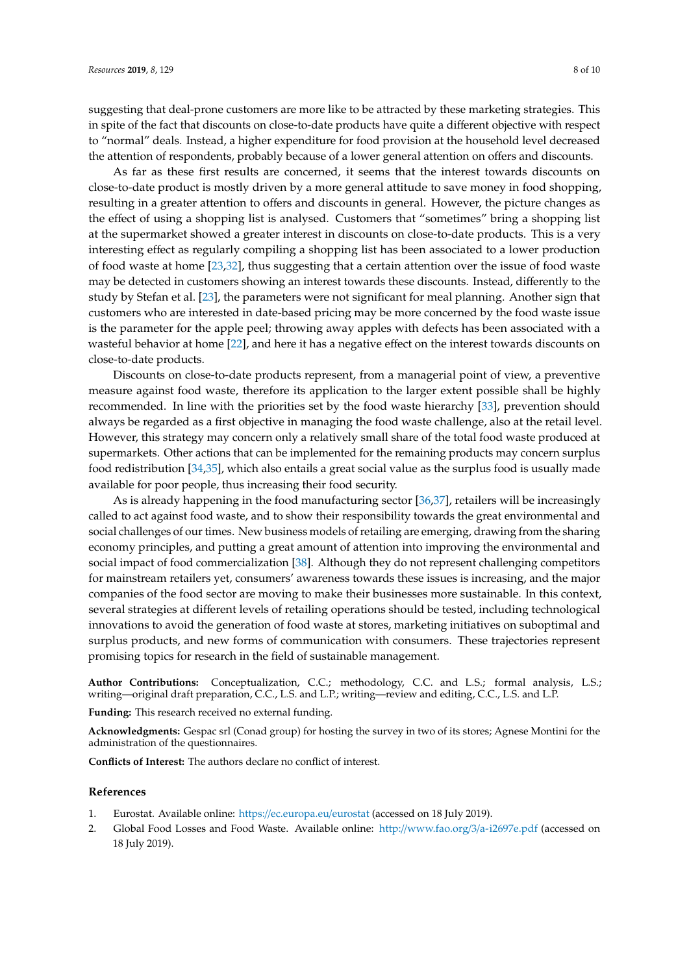suggesting that deal-prone customers are more like to be attracted by these marketing strategies. This in spite of the fact that discounts on close-to-date products have quite a different objective with respect to "normal" deals. Instead, a higher expenditure for food provision at the household level decreased the attention of respondents, probably because of a lower general attention on offers and discounts.

As far as these first results are concerned, it seems that the interest towards discounts on close-to-date product is mostly driven by a more general attitude to save money in food shopping, resulting in a greater attention to offers and discounts in general. However, the picture changes as the effect of using a shopping list is analysed. Customers that "sometimes" bring a shopping list at the supermarket showed a greater interest in discounts on close-to-date products. This is a very interesting effect as regularly compiling a shopping list has been associated to a lower production of food waste at home [\[23](#page-8-20)[,32\]](#page-9-6), thus suggesting that a certain attention over the issue of food waste may be detected in customers showing an interest towards these discounts. Instead, differently to the study by Stefan et al. [\[23\]](#page-8-20), the parameters were not significant for meal planning. Another sign that customers who are interested in date-based pricing may be more concerned by the food waste issue is the parameter for the apple peel; throwing away apples with defects has been associated with a wasteful behavior at home [\[22\]](#page-8-19), and here it has a negative effect on the interest towards discounts on close-to-date products.

Discounts on close-to-date products represent, from a managerial point of view, a preventive measure against food waste, therefore its application to the larger extent possible shall be highly recommended. In line with the priorities set by the food waste hierarchy [\[33\]](#page-9-7), prevention should always be regarded as a first objective in managing the food waste challenge, also at the retail level. However, this strategy may concern only a relatively small share of the total food waste produced at supermarkets. Other actions that can be implemented for the remaining products may concern surplus food redistribution [\[34,](#page-9-8)[35\]](#page-9-9), which also entails a great social value as the surplus food is usually made available for poor people, thus increasing their food security.

As is already happening in the food manufacturing sector [\[36](#page-9-10)[,37\]](#page-9-11), retailers will be increasingly called to act against food waste, and to show their responsibility towards the great environmental and social challenges of our times. New business models of retailing are emerging, drawing from the sharing economy principles, and putting a great amount of attention into improving the environmental and social impact of food commercialization [\[38\]](#page-9-12). Although they do not represent challenging competitors for mainstream retailers yet, consumers' awareness towards these issues is increasing, and the major companies of the food sector are moving to make their businesses more sustainable. In this context, several strategies at different levels of retailing operations should be tested, including technological innovations to avoid the generation of food waste at stores, marketing initiatives on suboptimal and surplus products, and new forms of communication with consumers. These trajectories represent promising topics for research in the field of sustainable management.

**Author Contributions:** Conceptualization, C.C.; methodology, C.C. and L.S.; formal analysis, L.S.; writing—original draft preparation, C.C., L.S. and L.P.; writing—review and editing, C.C., L.S. and L.P.

**Funding:** This research received no external funding.

**Acknowledgments:** Gespac srl (Conad group) for hosting the survey in two of its stores; Agnese Montini for the administration of the questionnaires.

**Conflicts of Interest:** The authors declare no conflict of interest.

#### **References**

- <span id="page-7-0"></span>1. Eurostat. Available online: https://[ec.europa.eu](https://ec.europa.eu/eurostat)/eurostat (accessed on 18 July 2019).
- <span id="page-7-1"></span>2. Global Food Losses and Food Waste. Available online: http://[www.fao.org](http://www.fao.org/3/a-i2697e.pdf)/3/a-i2697e.pdf (accessed on 18 July 2019).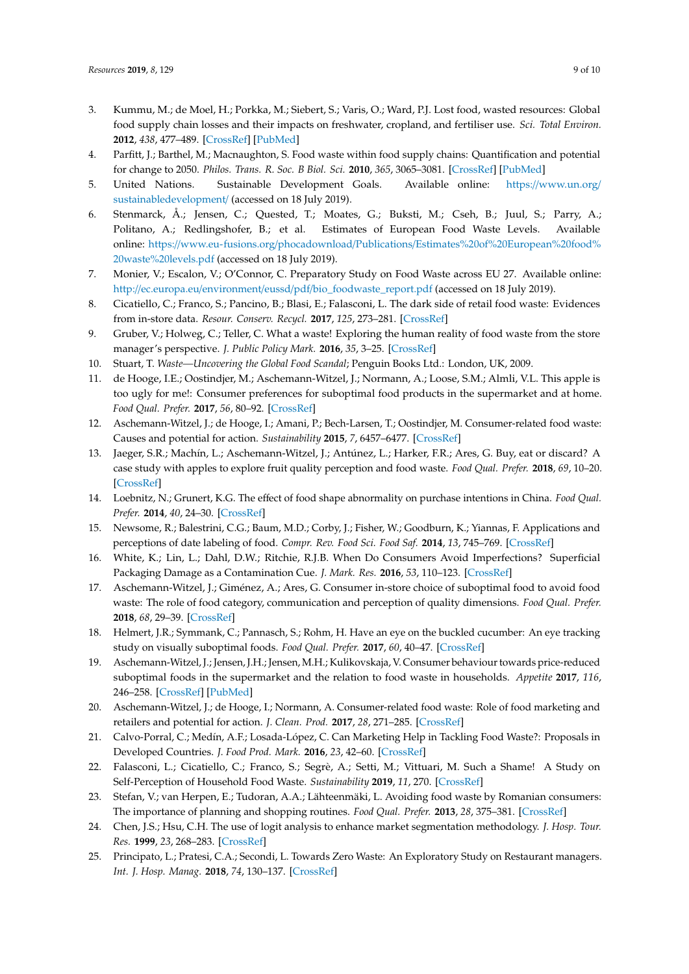- <span id="page-8-0"></span>3. Kummu, M.; de Moel, H.; Porkka, M.; Siebert, S.; Varis, O.; Ward, P.J. Lost food, wasted resources: Global food supply chain losses and their impacts on freshwater, cropland, and fertiliser use. *Sci. Total Environ.* **2012**, *438*, 477–489. [\[CrossRef\]](http://dx.doi.org/10.1016/j.scitotenv.2012.08.092) [\[PubMed\]](http://www.ncbi.nlm.nih.gov/pubmed/23032564)
- <span id="page-8-1"></span>4. Parfitt, J.; Barthel, M.; Macnaughton, S. Food waste within food supply chains: Quantification and potential for change to 2050. *Philos. Trans. R. Soc. B Biol. Sci.* **2010**, *365*, 3065–3081. [\[CrossRef\]](http://dx.doi.org/10.1098/rstb.2010.0126) [\[PubMed\]](http://www.ncbi.nlm.nih.gov/pubmed/20713403)
- <span id="page-8-2"></span>5. United Nations. Sustainable Development Goals. Available online: https://[www.un.org](https://www.un.org/sustainabledevelopment/)/ [sustainabledevelopment](https://www.un.org/sustainabledevelopment/)/ (accessed on 18 July 2019).
- <span id="page-8-3"></span>6. Stenmarck, Å.; Jensen, C.; Quested, T.; Moates, G.; Buksti, M.; Cseh, B.; Juul, S.; Parry, A.; Politano, A.; Redlingshofer, B.; et al. Estimates of European Food Waste Levels. Available online: https://www.eu-fusions.org/phocadownload/Publications/[Estimates%20of%20European%20food%](https://www.eu-fusions.org/phocadownload/Publications/Estimates%20of%20European%20food%20waste%20levels.pdf) [20waste%20levels.pdf](https://www.eu-fusions.org/phocadownload/Publications/Estimates%20of%20European%20food%20waste%20levels.pdf) (accessed on 18 July 2019).
- <span id="page-8-4"></span>7. Monier, V.; Escalon, V.; O'Connor, C. Preparatory Study on Food Waste across EU 27. Available online: http://ec.europa.eu/environment/eussd/pdf/[bio\\_foodwaste\\_report.pdf](http://ec.europa.eu/environment/eussd/pdf/bio_foodwaste_report.pdf) (accessed on 18 July 2019).
- <span id="page-8-5"></span>8. Cicatiello, C.; Franco, S.; Pancino, B.; Blasi, E.; Falasconi, L. The dark side of retail food waste: Evidences from in-store data. *Resour. Conserv. Recycl.* **2017**, *125*, 273–281. [\[CrossRef\]](http://dx.doi.org/10.1016/j.resconrec.2017.06.010)
- <span id="page-8-6"></span>9. Gruber, V.; Holweg, C.; Teller, C. What a waste! Exploring the human reality of food waste from the store manager's perspective. *J. Public Policy Mark.* **2016**, *35*, 3–25. [\[CrossRef\]](http://dx.doi.org/10.1509/jppm.14.095)
- <span id="page-8-7"></span>10. Stuart, T. *Waste—Uncovering the Global Food Scandal*; Penguin Books Ltd.: London, UK, 2009.
- <span id="page-8-8"></span>11. de Hooge, I.E.; Oostindjer, M.; Aschemann-Witzel, J.; Normann, A.; Loose, S.M.; Almli, V.L. This apple is too ugly for me!: Consumer preferences for suboptimal food products in the supermarket and at home. *Food Qual. Prefer.* **2017**, *56*, 80–92. [\[CrossRef\]](http://dx.doi.org/10.1016/j.foodqual.2016.09.012)
- <span id="page-8-9"></span>12. Aschemann-Witzel, J.; de Hooge, I.; Amani, P.; Bech-Larsen, T.; Oostindjer, M. Consumer-related food waste: Causes and potential for action. *Sustainability* **2015**, *7*, 6457–6477. [\[CrossRef\]](http://dx.doi.org/10.3390/su7066457)
- <span id="page-8-10"></span>13. Jaeger, S.R.; Machín, L.; Aschemann-Witzel, J.; Antúnez, L.; Harker, F.R.; Ares, G. Buy, eat or discard? A case study with apples to explore fruit quality perception and food waste. *Food Qual. Prefer.* **2018**, *69*, 10–20. [\[CrossRef\]](http://dx.doi.org/10.1016/j.foodqual.2018.05.004)
- <span id="page-8-11"></span>14. Loebnitz, N.; Grunert, K.G. The effect of food shape abnormality on purchase intentions in China. *Food Qual. Prefer.* **2014**, *40*, 24–30. [\[CrossRef\]](http://dx.doi.org/10.1016/j.foodqual.2014.08.005)
- <span id="page-8-12"></span>15. Newsome, R.; Balestrini, C.G.; Baum, M.D.; Corby, J.; Fisher, W.; Goodburn, K.; Yiannas, F. Applications and perceptions of date labeling of food. *Compr. Rev. Food Sci. Food Saf.* **2014**, *13*, 745–769. [\[CrossRef\]](http://dx.doi.org/10.1111/1541-4337.12086)
- <span id="page-8-13"></span>16. White, K.; Lin, L.; Dahl, D.W.; Ritchie, R.J.B. When Do Consumers Avoid Imperfections? Superficial Packaging Damage as a Contamination Cue. *J. Mark. Res.* **2016**, *53*, 110–123. [\[CrossRef\]](http://dx.doi.org/10.1509/jmr.12.0388)
- <span id="page-8-14"></span>17. Aschemann-Witzel, J.; Giménez, A.; Ares, G. Consumer in-store choice of suboptimal food to avoid food waste: The role of food category, communication and perception of quality dimensions. *Food Qual. Prefer.* **2018**, *68*, 29–39. [\[CrossRef\]](http://dx.doi.org/10.1016/j.foodqual.2018.01.020)
- <span id="page-8-15"></span>18. Helmert, J.R.; Symmank, C.; Pannasch, S.; Rohm, H. Have an eye on the buckled cucumber: An eye tracking study on visually suboptimal foods. *Food Qual. Prefer.* **2017**, *60*, 40–47. [\[CrossRef\]](http://dx.doi.org/10.1016/j.foodqual.2017.03.009)
- <span id="page-8-16"></span>19. Aschemann-Witzel, J.; Jensen, J.H.; Jensen, M.H.; Kulikovskaja, V. Consumer behaviour towards price-reduced suboptimal foods in the supermarket and the relation to food waste in households. *Appetite* **2017**, *116*, 246–258. [\[CrossRef\]](http://dx.doi.org/10.1016/j.appet.2017.05.013) [\[PubMed\]](http://www.ncbi.nlm.nih.gov/pubmed/28487247)
- <span id="page-8-17"></span>20. Aschemann-Witzel, J.; de Hooge, I.; Normann, A. Consumer-related food waste: Role of food marketing and retailers and potential for action. *J. Clean. Prod.* **2017**, *28*, 271–285. [\[CrossRef\]](http://dx.doi.org/10.1080/08974438.2015.1110549)
- <span id="page-8-18"></span>21. Calvo-Porral, C.; Medín, A.F.; Losada-López, C. Can Marketing Help in Tackling Food Waste?: Proposals in Developed Countries. *J. Food Prod. Mark.* **2016**, *23*, 42–60. [\[CrossRef\]](http://dx.doi.org/10.1080/10454446.2017.1244792)
- <span id="page-8-19"></span>22. Falasconi, L.; Cicatiello, C.; Franco, S.; Segrè, A.; Setti, M.; Vittuari, M. Such a Shame! A Study on Self-Perception of Household Food Waste. *Sustainability* **2019**, *11*, 270. [\[CrossRef\]](http://dx.doi.org/10.3390/su11010270)
- <span id="page-8-20"></span>23. Stefan, V.; van Herpen, E.; Tudoran, A.A.; Lähteenmäki, L. Avoiding food waste by Romanian consumers: The importance of planning and shopping routines. *Food Qual. Prefer.* **2013**, *28*, 375–381. [\[CrossRef\]](http://dx.doi.org/10.1016/j.foodqual.2012.11.001)
- <span id="page-8-21"></span>24. Chen, J.S.; Hsu, C.H. The use of logit analysis to enhance market segmentation methodology. *J. Hosp. Tour. Res.* **1999**, *23*, 268–283. [\[CrossRef\]](http://dx.doi.org/10.1177/109634809902300303)
- <span id="page-8-22"></span>25. Principato, L.; Pratesi, C.A.; Secondi, L. Towards Zero Waste: An Exploratory Study on Restaurant managers. *Int. J. Hosp. Manag.* **2018**, *74*, 130–137. [\[CrossRef\]](http://dx.doi.org/10.1016/j.ijhm.2018.02.022)